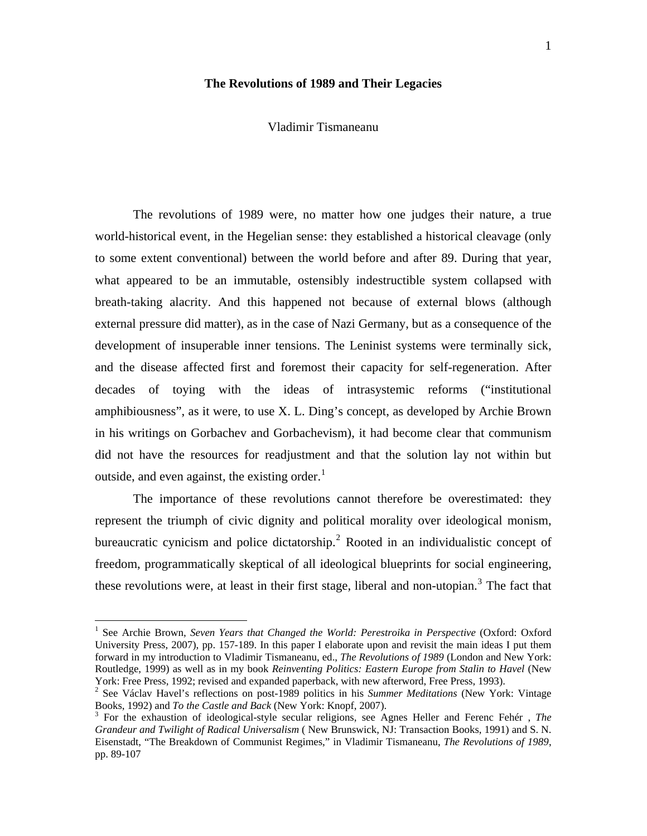## **The Revolutions of 1989 and Their Legacies**

## Vladimir Tismaneanu

The revolutions of 1989 were, no matter how one judges their nature, a true world-historical event, in the Hegelian sense: they established a historical cleavage (only to some extent conventional) between the world before and after 89. During that year, what appeared to be an immutable, ostensibly indestructible system collapsed with breath-taking alacrity. And this happened not because of external blows (although external pressure did matter), as in the case of Nazi Germany, but as a consequence of the development of insuperable inner tensions. The Leninist systems were terminally sick, and the disease affected first and foremost their capacity for self-regeneration. After decades of toying with the ideas of intrasystemic reforms ("institutional amphibiousness", as it were, to use X. L. Ding's concept, as developed by Archie Brown in his writings on Gorbachev and Gorbachevism), it had become clear that communism did not have the resources for readjustment and that the solution lay not within but outside, and even against, the existing order. $<sup>1</sup>$  $<sup>1</sup>$  $<sup>1</sup>$ </sup>

The importance of these revolutions cannot therefore be overestimated: they represent the triumph of civic dignity and political morality over ideological monism, bureaucratic cynicism and police dictatorship.<sup>[2](#page-0-1)</sup> Rooted in an individualistic concept of freedom, programmatically skeptical of all ideological blueprints for social engineering, these revolutions were, at least in their first stage, liberal and non-utopian.<sup>[3](#page-0-2)</sup> The fact that

<span id="page-0-0"></span><sup>&</sup>lt;sup>1</sup> See Archie Brown, Seven Years that Changed the World: Perestroika in Perspective (Oxford: Oxford University Press, 2007), pp. 157-189. In this paper I elaborate upon and revisit the main ideas I put them forward in my introduction to Vladimir Tismaneanu, ed., *The Revolutions of 1989* (London and New York: Routledge, 1999) as well as in my book *Reinventing Politics: Eastern Europe from Stalin to Havel* (New York: Free Press, 1992; revised and expanded paperback, with new afterword, Free Press, 1993).

<span id="page-0-1"></span><sup>2</sup> See Václav Havel's reflections on post-1989 politics in his *Summer Meditations* (New York: Vintage Books, 1992) and *To the Castle and Back* (New York: Knopf, 2007). 3

<span id="page-0-2"></span>For the exhaustion of ideological-style secular religions, see Agnes Heller and Ferenc Fehér , *The Grandeur and Twilight of Radical Universalism* ( New Brunswick, NJ: Transaction Books, 1991) and S. N. Eisenstadt, "The Breakdown of Communist Regimes," in Vladimir Tismaneanu, *The Revolutions of 1989*, pp. 89-107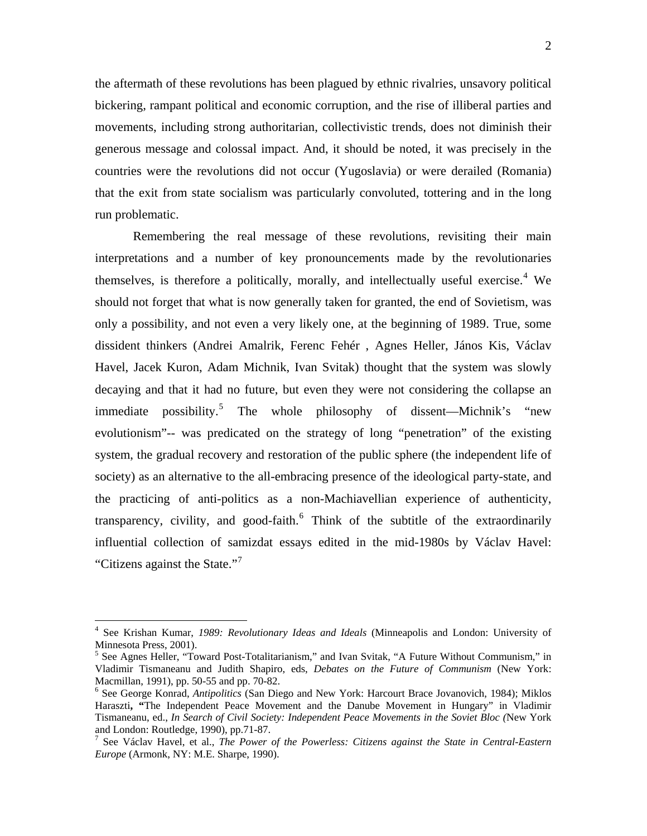the aftermath of these revolutions has been plagued by ethnic rivalries, unsavory political bickering, rampant political and economic corruption, and the rise of illiberal parties and movements, including strong authoritarian, collectivistic trends, does not diminish their generous message and colossal impact. And, it should be noted, it was precisely in the countries were the revolutions did not occur (Yugoslavia) or were derailed (Romania) that the exit from state socialism was particularly convoluted, tottering and in the long run problematic.

Remembering the real message of these revolutions, revisiting their main interpretations and a number of key pronouncements made by the revolutionaries themselves, is therefore a politically, morally, and intellectually useful exercise.<sup>[4](#page-1-0)</sup> We should not forget that what is now generally taken for granted, the end of Sovietism, was only a possibility, and not even a very likely one, at the beginning of 1989. True, some dissident thinkers (Andrei Amalrik, Ferenc Fehér , Agnes Heller, János Kis, Václav Havel, Jacek Kuron, Adam Michnik, Ivan Svitak) thought that the system was slowly decaying and that it had no future, but even they were not considering the collapse an immediate possibility.<sup>[5](#page-1-1)</sup> The whole philosophy of dissent—Michnik's "new evolutionism"-- was predicated on the strategy of long "penetration" of the existing system, the gradual recovery and restoration of the public sphere (the independent life of society) as an alternative to the all-embracing presence of the ideological party-state, and the practicing of anti-politics as a non-Machiavellian experience of authenticity, transparency, civility, and good-faith.<sup>[6](#page-1-2)</sup> Think of the subtitle of the extraordinarily influential collection of samizdat essays edited in the mid-1980s by Václav Havel: "Citizens against the State."<sup>[7](#page-1-3)</sup>

<span id="page-1-0"></span><sup>4</sup> See Krishan Kumar, *1989: Revolutionary Ideas and Ideals* (Minneapolis and London: University of Minnesota Press, 2001).

<span id="page-1-1"></span><sup>&</sup>lt;sup>5</sup> See Agnes Heller, "Toward Post-Totalitarianism," and Ivan Svitak, "A Future Without Communism," in Vladimir Tismaneanu and Judith Shapiro, eds, *Debates on the Future of Communism* (New York: Macmillan, 1991), pp. 50-55 and pp. 70-82.

<span id="page-1-2"></span><sup>&</sup>lt;sup>6</sup> See George Konrad, *Antipolitics* (San Diego and New York: Harcourt Brace Jovanovich, 1984); Miklos Haraszti**, "**The Independent Peace Movement and the Danube Movement in Hungary" in Vladimir Tismaneanu, ed., *In Search of Civil Society: Independent Peace Movements in the Soviet Bloc (*New York and London: Routledge, 1990), pp.71-87.

<span id="page-1-3"></span><sup>7</sup> See Václav Havel, et al., *The Power of the Powerless: Citizens against the State in Central-Eastern Europe* (Armonk, NY: M.E. Sharpe, 1990).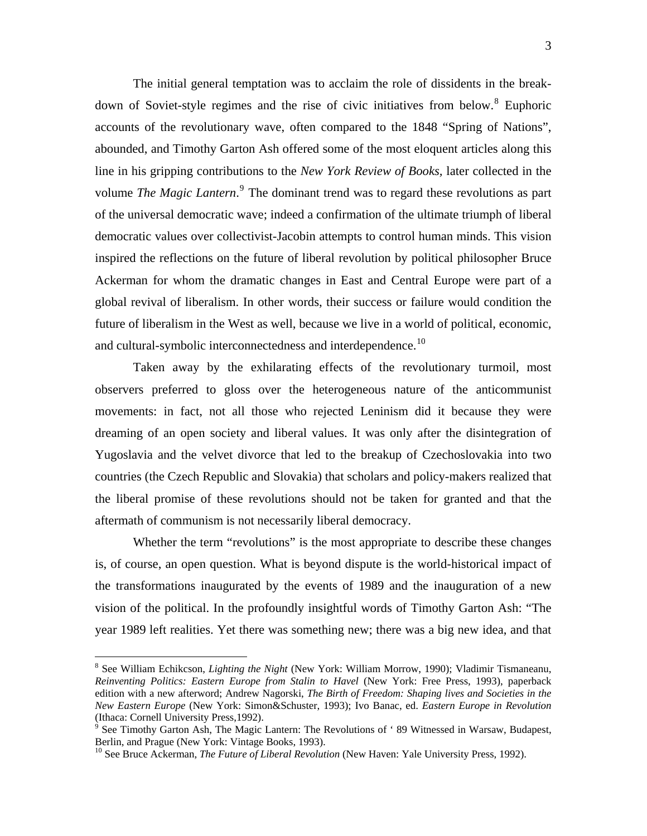The initial general temptation was to acclaim the role of dissidents in the break-down of Soviet-style regimes and the rise of civic initiatives from below.<sup>[8](#page-2-0)</sup> Euphoric accounts of the revolutionary wave, often compared to the 1848 "Spring of Nations", abounded, and Timothy Garton Ash offered some of the most eloquent articles along this line in his gripping contributions to the *New York Review of Books,* later collected in the volume *The Magic Lantern*. [9](#page-2-1) The dominant trend was to regard these revolutions as part of the universal democratic wave; indeed a confirmation of the ultimate triumph of liberal democratic values over collectivist-Jacobin attempts to control human minds. This vision inspired the reflections on the future of liberal revolution by political philosopher Bruce Ackerman for whom the dramatic changes in East and Central Europe were part of a global revival of liberalism. In other words, their success or failure would condition the future of liberalism in the West as well, because we live in a world of political, economic, and cultural-symbolic interconnectedness and interdependence.<sup>[10](#page-2-2)</sup>

Taken away by the exhilarating effects of the revolutionary turmoil, most observers preferred to gloss over the heterogeneous nature of the anticommunist movements: in fact, not all those who rejected Leninism did it because they were dreaming of an open society and liberal values. It was only after the disintegration of Yugoslavia and the velvet divorce that led to the breakup of Czechoslovakia into two countries (the Czech Republic and Slovakia) that scholars and policy-makers realized that the liberal promise of these revolutions should not be taken for granted and that the aftermath of communism is not necessarily liberal democracy.

Whether the term "revolutions" is the most appropriate to describe these changes is, of course, an open question. What is beyond dispute is the world-historical impact of the transformations inaugurated by the events of 1989 and the inauguration of a new vision of the political. In the profoundly insightful words of Timothy Garton Ash: "The year 1989 left realities. Yet there was something new; there was a big new idea, and that

<span id="page-2-0"></span> 8 See William Echikcson, *Lighting the Night* (New York: William Morrow, 1990); Vladimir Tismaneanu, *Reinventing Politics: Eastern Europe from Stalin to Havel* (New York: Free Press, 1993), paperback edition with a new afterword; Andrew Nagorski, *The Birth of Freedom: Shaping lives and Societies in the New Eastern Europe* (New York: Simon&Schuster, 1993); Ivo Banac, ed. *Eastern Europe in Revolution*  (Ithaca: Cornell University Press, 1992).

<span id="page-2-1"></span> $\overrightarrow{S}$  See Timothy Garton Ash, The Magic Lantern: The Revolutions of '89 Witnessed in Warsaw, Budapest, Berlin, and Prague (New York: Vintage Books, 1993).

<span id="page-2-2"></span><sup>&</sup>lt;sup>10</sup> See Bruce Ackerman, *The Future of Liberal Revolution* (New Haven: Yale University Press, 1992).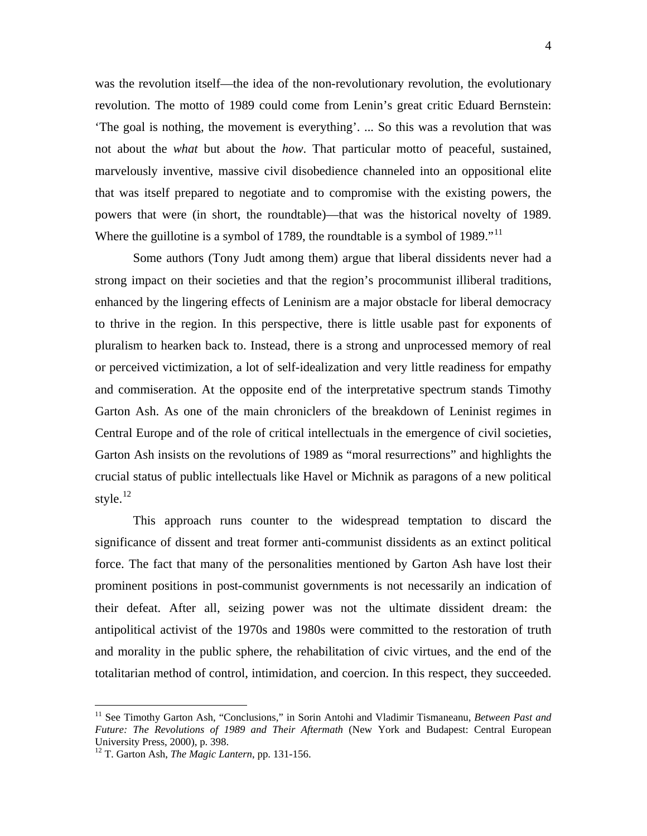was the revolution itself—the idea of the non-revolutionary revolution, the evolutionary revolution. The motto of 1989 could come from Lenin's great critic Eduard Bernstein: 'The goal is nothing, the movement is everything'. ... So this was a revolution that was not about the *what* but about the *how*. That particular motto of peaceful, sustained, marvelously inventive, massive civil disobedience channeled into an oppositional elite that was itself prepared to negotiate and to compromise with the existing powers, the powers that were (in short, the roundtable)—that was the historical novelty of 1989. Where the guillotine is a symbol of 1789, the roundtable is a symbol of 1989."<sup>[11](#page-3-0)</sup>

Some authors (Tony Judt among them) argue that liberal dissidents never had a strong impact on their societies and that the region's procommunist illiberal traditions, enhanced by the lingering effects of Leninism are a major obstacle for liberal democracy to thrive in the region. In this perspective, there is little usable past for exponents of pluralism to hearken back to. Instead, there is a strong and unprocessed memory of real or perceived victimization, a lot of self-idealization and very little readiness for empathy and commiseration. At the opposite end of the interpretative spectrum stands Timothy Garton Ash. As one of the main chroniclers of the breakdown of Leninist regimes in Central Europe and of the role of critical intellectuals in the emergence of civil societies, Garton Ash insists on the revolutions of 1989 as "moral resurrections" and highlights the crucial status of public intellectuals like Havel or Michnik as paragons of a new political style. $^{12}$  $^{12}$  $^{12}$ 

This approach runs counter to the widespread temptation to discard the significance of dissent and treat former anti-communist dissidents as an extinct political force. The fact that many of the personalities mentioned by Garton Ash have lost their prominent positions in post-communist governments is not necessarily an indication of their defeat. After all, seizing power was not the ultimate dissident dream: the antipolitical activist of the 1970s and 1980s were committed to the restoration of truth and morality in the public sphere, the rehabilitation of civic virtues, and the end of the totalitarian method of control, intimidation, and coercion. In this respect, they succeeded.

<span id="page-3-0"></span><sup>11</sup> See Timothy Garton Ash, "Conclusions," in Sorin Antohi and Vladimir Tismaneanu, *Between Past and Future: The Revolutions of 1989 and Their Aftermath* (New York and Budapest: Central European University Press, 2000), p. 398.

<span id="page-3-1"></span><sup>12</sup> T. Garton Ash, *The Magic Lantern*, pp. 131-156.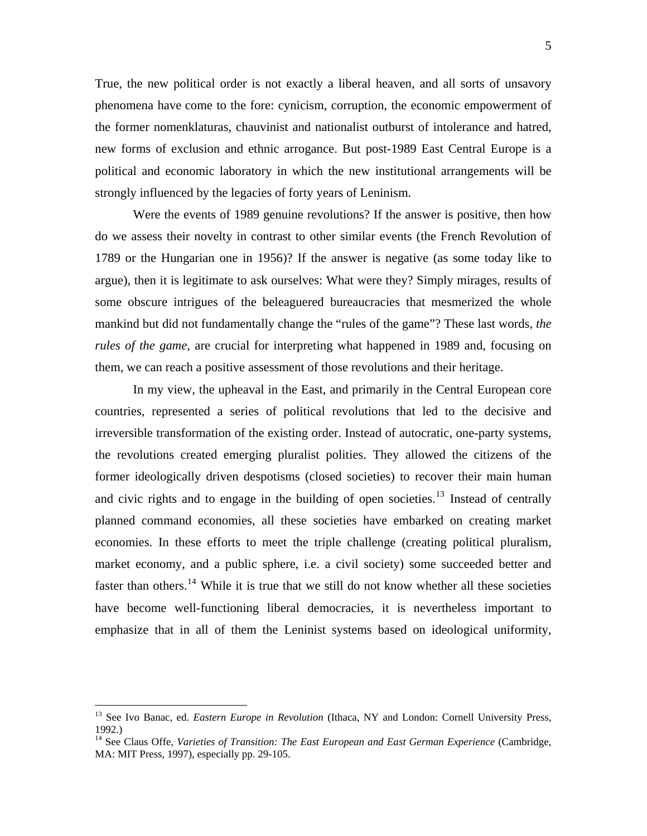True, the new political order is not exactly a liberal heaven, and all sorts of unsavory phenomena have come to the fore: cynicism, corruption, the economic empowerment of the former nomenklaturas, chauvinist and nationalist outburst of intolerance and hatred, new forms of exclusion and ethnic arrogance. But post-1989 East Central Europe is a political and economic laboratory in which the new institutional arrangements will be strongly influenced by the legacies of forty years of Leninism.

Were the events of 1989 genuine revolutions? If the answer is positive, then how do we assess their novelty in contrast to other similar events (the French Revolution of 1789 or the Hungarian one in 1956)? If the answer is negative (as some today like to argue), then it is legitimate to ask ourselves: What were they? Simply mirages, results of some obscure intrigues of the beleaguered bureaucracies that mesmerized the whole mankind but did not fundamentally change the "rules of the game"? These last words, *the rules of the game,* are crucial for interpreting what happened in 1989 and, focusing on them, we can reach a positive assessment of those revolutions and their heritage.

In my view, the upheaval in the East, and primarily in the Central European core countries, represented a series of political revolutions that led to the decisive and irreversible transformation of the existing order. Instead of autocratic, one-party systems, the revolutions created emerging pluralist polities. They allowed the citizens of the former ideologically driven despotisms (closed societies) to recover their main human and civic rights and to engage in the building of open societies.<sup>[13](#page-4-0)</sup> Instead of centrally planned command economies, all these societies have embarked on creating market economies. In these efforts to meet the triple challenge (creating political pluralism, market economy, and a public sphere, i.e. a civil society) some succeeded better and faster than others.<sup>[14](#page-4-1)</sup> While it is true that we still do not know whether all these societies have become well-functioning liberal democracies, it is nevertheless important to emphasize that in all of them the Leninist systems based on ideological uniformity,

<span id="page-4-0"></span><sup>&</sup>lt;sup>13</sup> See Ivo Banac, ed. *Eastern Europe in Revolution* (Ithaca, NY and London: Cornell University Press, 1992.)

<span id="page-4-1"></span><sup>&</sup>lt;sup>14</sup> See Claus Offe, *Varieties of Transition: The East European and East German Experience* (Cambridge, MA: MIT Press, 1997), especially pp. 29-105.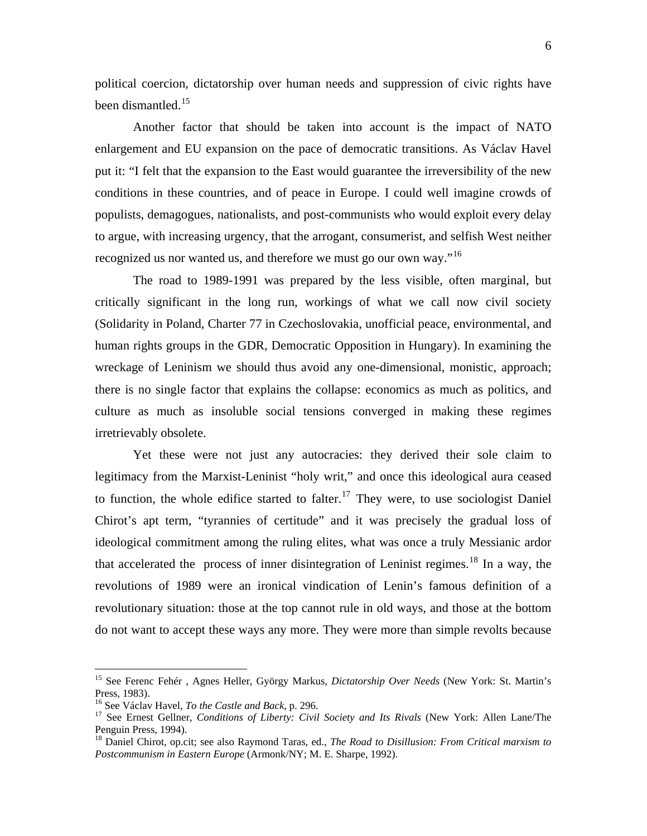political coercion, dictatorship over human needs and suppression of civic rights have been dismantled.<sup>[15](#page-5-0)</sup>

Another factor that should be taken into account is the impact of NATO enlargement and EU expansion on the pace of democratic transitions. As Václav Havel put it: "I felt that the expansion to the East would guarantee the irreversibility of the new conditions in these countries, and of peace in Europe. I could well imagine crowds of populists, demagogues, nationalists, and post-communists who would exploit every delay to argue, with increasing urgency, that the arrogant, consumerist, and selfish West neither recognized us nor wanted us, and therefore we must go our own way."<sup>[16](#page-5-1)</sup>

The road to 1989-1991 was prepared by the less visible, often marginal, but critically significant in the long run, workings of what we call now civil society (Solidarity in Poland, Charter 77 in Czechoslovakia, unofficial peace, environmental, and human rights groups in the GDR, Democratic Opposition in Hungary). In examining the wreckage of Leninism we should thus avoid any one-dimensional, monistic, approach; there is no single factor that explains the collapse: economics as much as politics, and culture as much as insoluble social tensions converged in making these regimes irretrievably obsolete.

Yet these were not just any autocracies: they derived their sole claim to legitimacy from the Marxist-Leninist "holy writ," and once this ideological aura ceased to function, the whole edifice started to falter.<sup>[17](#page-5-2)</sup> They were, to use sociologist Daniel Chirot's apt term, "tyrannies of certitude" and it was precisely the gradual loss of ideological commitment among the ruling elites, what was once a truly Messianic ardor that accelerated the process of inner disintegration of Leninist regimes.<sup>[18](#page-5-3)</sup> In a way, the revolutions of 1989 were an ironical vindication of Lenin's famous definition of a revolutionary situation: those at the top cannot rule in old ways, and those at the bottom do not want to accept these ways any more. They were more than simple revolts because

<span id="page-5-0"></span><sup>15</sup> See Ferenc Fehér , Agnes Heller, György Markus, *Dictatorship Over Needs* (New York: St. Martin's Press, 1983).<br><sup>16</sup> See Václav Havel, *To the Castle and Back*, p. 296.

<span id="page-5-2"></span><span id="page-5-1"></span><sup>16</sup> See Václav Havel, *To the Castle and Back*, p. 296. 17 See Ernest Gellner, *Conditions of Liberty: Civil Society and Its Rivals* (New York: Allen Lane/The Penguin Press, 1994).

<span id="page-5-3"></span><sup>18</sup> Daniel Chirot, op.cit; see also Raymond Taras, ed., *The Road to Disillusion: From Critical marxism to Postcommunism in Eastern Europe* (Armonk/NY; M. E. Sharpe, 1992).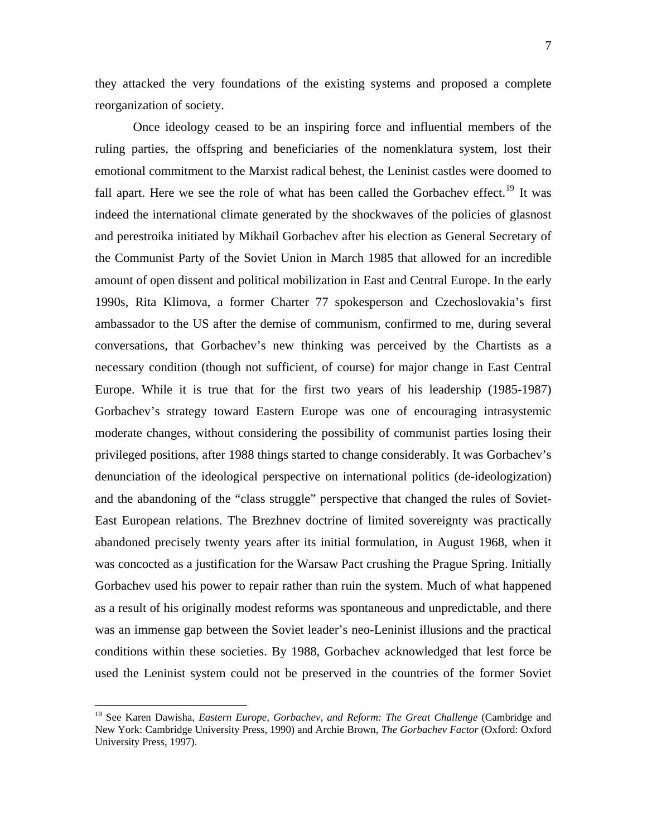they attacked the very foundations of the existing systems and proposed a complete reorganization of society.

Once ideology ceased to be an inspiring force and influential members of the ruling parties, the offspring and beneficiaries of the nomenklatura system, lost their emotional commitment to the Marxist radical behest, the Leninist castles were doomed to fall apart. Here we see the role of what has been called the Gorbachev effect.<sup>[19](#page-6-0)</sup> It was indeed the international climate generated by the shockwaves of the policies of glasnost and perestroika initiated by Mikhail Gorbachev after his election as General Secretary of the Communist Party of the Soviet Union in March 1985 that allowed for an incredible amount of open dissent and political mobilization in East and Central Europe. In the early 1990s, Rita Klimova, a former Charter 77 spokesperson and Czechoslovakia's first ambassador to the US after the demise of communism, confirmed to me, during several conversations, that Gorbachev's new thinking was perceived by the Chartists as a necessary condition (though not sufficient, of course) for major change in East Central Europe. While it is true that for the first two years of his leadership (1985-1987) Gorbachev's strategy toward Eastern Europe was one of encouraging intrasystemic moderate changes, without considering the possibility of communist parties losing their privileged positions, after 1988 things started to change considerably. It was Gorbachev's denunciation of the ideological perspective on international politics (de-ideologization) and the abandoning of the "class struggle" perspective that changed the rules of Soviet-East European relations. The Brezhnev doctrine of limited sovereignty was practically abandoned precisely twenty years after its initial formulation, in August 1968, when it was concocted as a justification for the Warsaw Pact crushing the Prague Spring. Initially Gorbachev used his power to repair rather than ruin the system. Much of what happened as a result of his originally modest reforms was spontaneous and unpredictable, and there was an immense gap between the Soviet leader's neo-Leninist illusions and the practical conditions within these societies. By 1988, Gorbachev acknowledged that lest force be used the Leninist system could not be preserved in the countries of the former Soviet

<span id="page-6-0"></span><sup>&</sup>lt;sup>19</sup> See Karen Dawisha, *Eastern Europe, Gorbachev, and Reform: The Great Challenge* (Cambridge and New York: Cambridge University Press, 1990) and Archie Brown, *The Gorbachev Factor* (Oxford: Oxford University Press, 1997).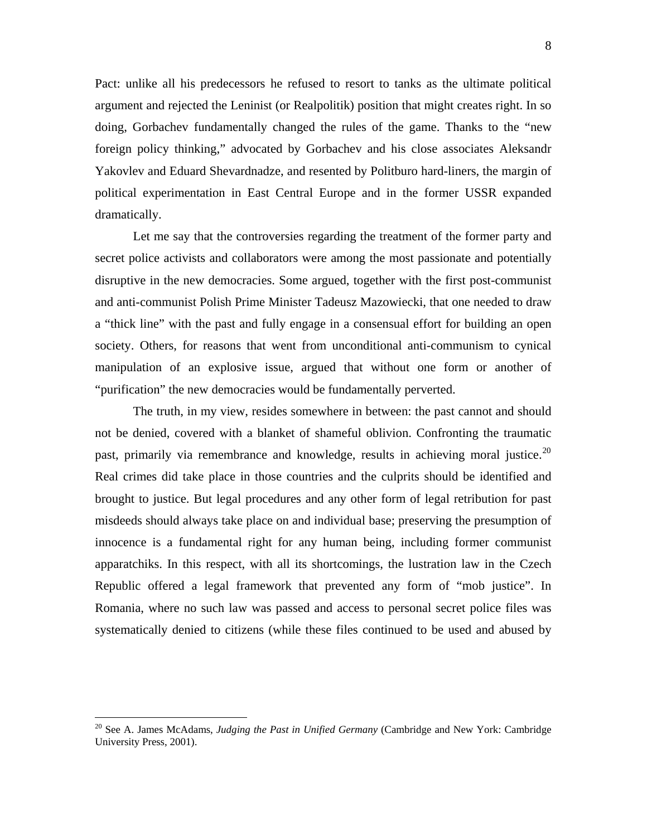Pact: unlike all his predecessors he refused to resort to tanks as the ultimate political argument and rejected the Leninist (or Realpolitik) position that might creates right. In so doing, Gorbachev fundamentally changed the rules of the game. Thanks to the "new foreign policy thinking," advocated by Gorbachev and his close associates Aleksandr Yakovlev and Eduard Shevardnadze, and resented by Politburo hard-liners, the margin of political experimentation in East Central Europe and in the former USSR expanded dramatically.

Let me say that the controversies regarding the treatment of the former party and secret police activists and collaborators were among the most passionate and potentially disruptive in the new democracies. Some argued, together with the first post-communist and anti-communist Polish Prime Minister Tadeusz Mazowiecki, that one needed to draw a "thick line" with the past and fully engage in a consensual effort for building an open society. Others, for reasons that went from unconditional anti-communism to cynical manipulation of an explosive issue, argued that without one form or another of "purification" the new democracies would be fundamentally perverted.

The truth, in my view, resides somewhere in between: the past cannot and should not be denied, covered with a blanket of shameful oblivion. Confronting the traumatic past, primarily via remembrance and knowledge, results in achieving moral justice.<sup>[20](#page-7-0)</sup> Real crimes did take place in those countries and the culprits should be identified and brought to justice. But legal procedures and any other form of legal retribution for past misdeeds should always take place on and individual base; preserving the presumption of innocence is a fundamental right for any human being, including former communist apparatchiks. In this respect, with all its shortcomings, the lustration law in the Czech Republic offered a legal framework that prevented any form of "mob justice". In Romania, where no such law was passed and access to personal secret police files was systematically denied to citizens (while these files continued to be used and abused by

1

<span id="page-7-0"></span><sup>20</sup> See A. James McAdams, *Judging the Past in Unified Germany* (Cambridge and New York: Cambridge University Press, 2001).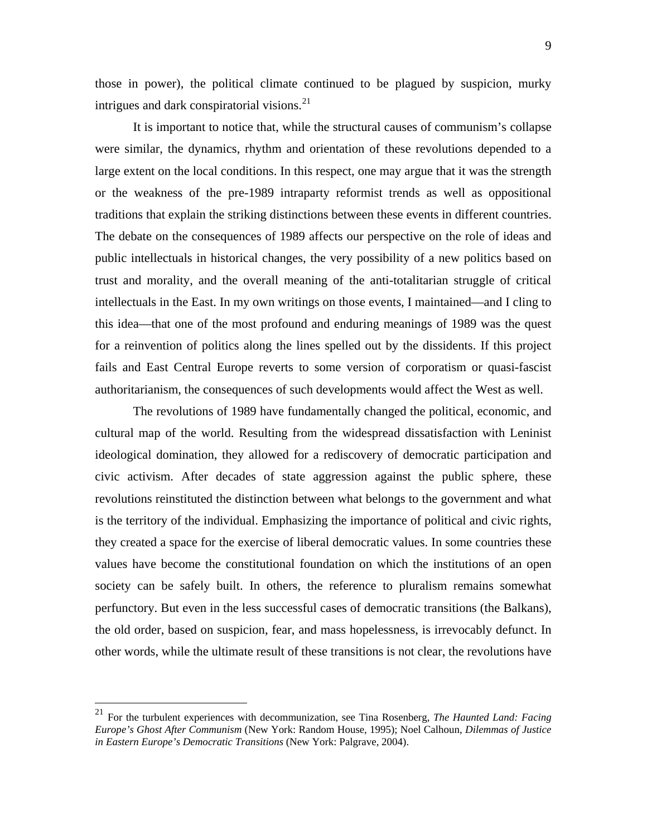those in power), the political climate continued to be plagued by suspicion, murky intrigues and dark conspiratorial visions. $^{21}$  $^{21}$  $^{21}$ 

It is important to notice that, while the structural causes of communism's collapse were similar, the dynamics, rhythm and orientation of these revolutions depended to a large extent on the local conditions. In this respect, one may argue that it was the strength or the weakness of the pre-1989 intraparty reformist trends as well as oppositional traditions that explain the striking distinctions between these events in different countries. The debate on the consequences of 1989 affects our perspective on the role of ideas and public intellectuals in historical changes, the very possibility of a new politics based on trust and morality, and the overall meaning of the anti-totalitarian struggle of critical intellectuals in the East. In my own writings on those events, I maintained—and I cling to this idea—that one of the most profound and enduring meanings of 1989 was the quest for a reinvention of politics along the lines spelled out by the dissidents. If this project fails and East Central Europe reverts to some version of corporatism or quasi-fascist authoritarianism, the consequences of such developments would affect the West as well.

The revolutions of 1989 have fundamentally changed the political, economic, and cultural map of the world. Resulting from the widespread dissatisfaction with Leninist ideological domination, they allowed for a rediscovery of democratic participation and civic activism. After decades of state aggression against the public sphere, these revolutions reinstituted the distinction between what belongs to the government and what is the territory of the individual. Emphasizing the importance of political and civic rights, they created a space for the exercise of liberal democratic values. In some countries these values have become the constitutional foundation on which the institutions of an open society can be safely built. In others, the reference to pluralism remains somewhat perfunctory. But even in the less successful cases of democratic transitions (the Balkans), the old order, based on suspicion, fear, and mass hopelessness, is irrevocably defunct. In other words, while the ultimate result of these transitions is not clear, the revolutions have

<span id="page-8-0"></span><sup>21</sup> For the turbulent experiences with decommunization, see Tina Rosenberg, *The Haunted Land: Facing Europe's Ghost After Communism* (New York: Random House, 1995); Noel Calhoun, *Dilemmas of Justice in Eastern Europe's Democratic Transitions* (New York: Palgrave, 2004).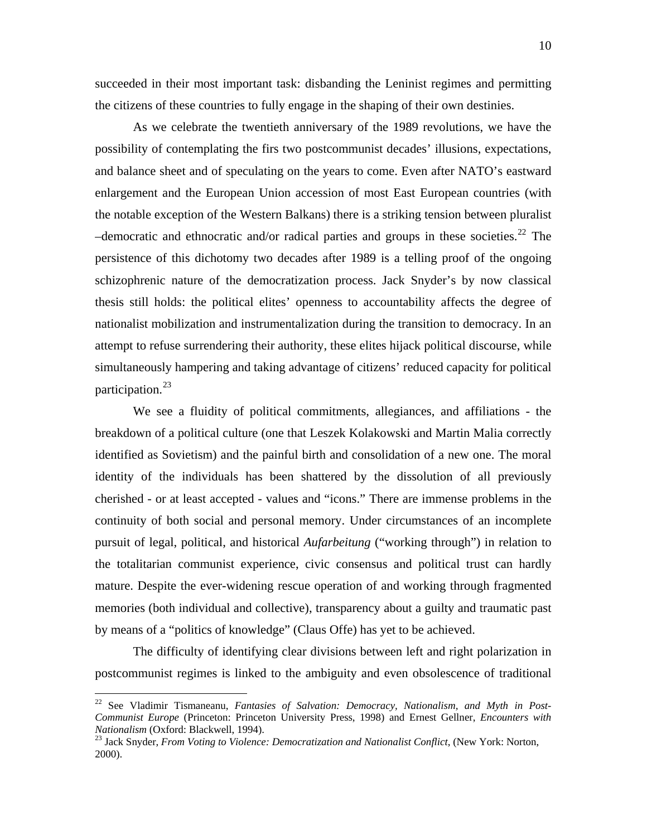succeeded in their most important task: disbanding the Leninist regimes and permitting the citizens of these countries to fully engage in the shaping of their own destinies.

As we celebrate the twentieth anniversary of the 1989 revolutions, we have the possibility of contemplating the firs two postcommunist decades' illusions, expectations, and balance sheet and of speculating on the years to come. Even after NATO's eastward enlargement and the European Union accession of most East European countries (with the notable exception of the Western Balkans) there is a striking tension between pluralist  $-d$ emocratic and ethnocratic and/or radical parties and groups in these societies.<sup>[22](#page-9-0)</sup> The persistence of this dichotomy two decades after 1989 is a telling proof of the ongoing schizophrenic nature of the democratization process. Jack Snyder's by now classical thesis still holds: the political elites' openness to accountability affects the degree of nationalist mobilization and instrumentalization during the transition to democracy. In an attempt to refuse surrendering their authority, these elites hijack political discourse, while simultaneously hampering and taking advantage of citizens' reduced capacity for political participation.<sup>[23](#page-9-1)</sup>

We see a fluidity of political commitments, allegiances, and affiliations - the breakdown of a political culture (one that Leszek Kolakowski and Martin Malia correctly identified as Sovietism) and the painful birth and consolidation of a new one. The moral identity of the individuals has been shattered by the dissolution of all previously cherished - or at least accepted - values and "icons." There are immense problems in the continuity of both social and personal memory. Under circumstances of an incomplete pursuit of legal, political, and historical *Aufarbeitung* ("working through") in relation to the totalitarian communist experience, civic consensus and political trust can hardly mature. Despite the ever-widening rescue operation of and working through fragmented memories (both individual and collective), transparency about a guilty and traumatic past by means of a "politics of knowledge" (Claus Offe) has yet to be achieved.

The difficulty of identifying clear divisions between left and right polarization in postcommunist regimes is linked to the ambiguity and even obsolescence of traditional

<span id="page-9-0"></span><sup>22</sup> See Vladimir Tismaneanu, *Fantasies of Salvation: Democracy, Nationalism, and Myth in Post-Communist Europe* (Princeton: Princeton University Press, 1998) and Ernest Gellner, *Encounters with* 

<span id="page-9-1"></span><sup>&</sup>lt;sup>23</sup> Jack Snyder, *From Voting to Violence: Democratization and Nationalist Conflict*, (New York: Norton, 2000).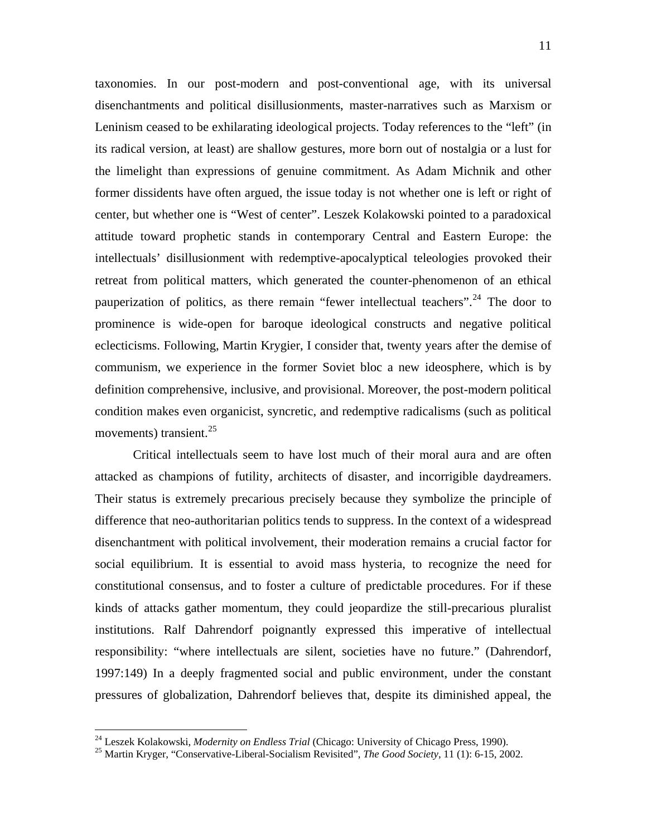taxonomies. In our post-modern and post-conventional age, with its universal disenchantments and political disillusionments, master-narratives such as Marxism or Leninism ceased to be exhilarating ideological projects. Today references to the "left" (in its radical version, at least) are shallow gestures, more born out of nostalgia or a lust for the limelight than expressions of genuine commitment. As Adam Michnik and other former dissidents have often argued, the issue today is not whether one is left or right of center, but whether one is "West of center". Leszek Kolakowski pointed to a paradoxical attitude toward prophetic stands in contemporary Central and Eastern Europe: the intellectuals' disillusionment with redemptive-apocalyptical teleologies provoked their retreat from political matters, which generated the counter-phenomenon of an ethical pauperization of politics, as there remain "fewer intellectual teachers".<sup>[24](#page-10-0)</sup> The door to prominence is wide-open for baroque ideological constructs and negative political eclecticisms. Following, Martin Krygier, I consider that, twenty years after the demise of communism, we experience in the former Soviet bloc a new ideosphere, which is by definition comprehensive, inclusive, and provisional. Moreover, the post-modern political condition makes even organicist, syncretic, and redemptive radicalisms (such as political movements) transient. $^{25}$  $^{25}$  $^{25}$ 

Critical intellectuals seem to have lost much of their moral aura and are often attacked as champions of futility, architects of disaster, and incorrigible daydreamers. Their status is extremely precarious precisely because they symbolize the principle of difference that neo-authoritarian politics tends to suppress. In the context of a widespread disenchantment with political involvement, their moderation remains a crucial factor for social equilibrium. It is essential to avoid mass hysteria, to recognize the need for constitutional consensus, and to foster a culture of predictable procedures. For if these kinds of attacks gather momentum, they could jeopardize the still-precarious pluralist institutions. Ralf Dahrendorf poignantly expressed this imperative of intellectual responsibility: "where intellectuals are silent, societies have no future." (Dahrendorf, 1997:149) In a deeply fragmented social and public environment, under the constant pressures of globalization, Dahrendorf believes that, despite its diminished appeal, the

<span id="page-10-1"></span><span id="page-10-0"></span><sup>&</sup>lt;sup>24</sup> Leszek Kolakowski, *Modernity on Endless Trial* (Chicago: University of Chicago Press, 1990).<br><sup>25</sup> Martin Kryger, "Conservative-Liberal-Socialism Revisited", *The Good Society*, 11 (1): 6-15, 2002.